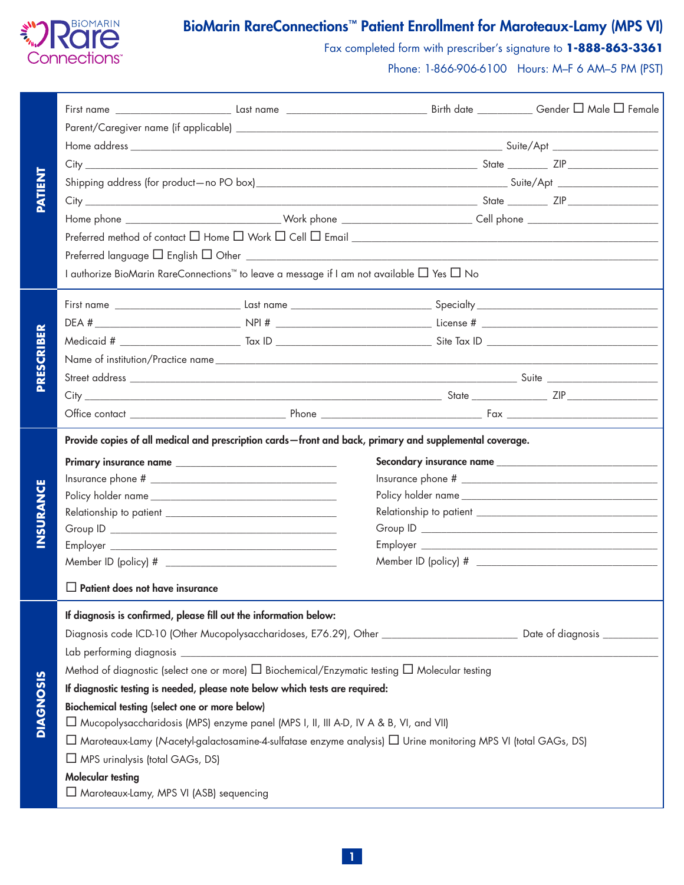

# BioMarin RareConnections™ Patient Enrollment for Maroteaux-Lamy (MPS VI)

Fax completed form with prescriber's signature to **1-888-863-3361**

Phone: 1-866-906-6100 Hours: M–F 6 AM–5 PM (PST)

| <b>TNEINT</b>    |                                                                                                                                     |  |  |  |  |  |  |  |
|------------------|-------------------------------------------------------------------------------------------------------------------------------------|--|--|--|--|--|--|--|
|                  |                                                                                                                                     |  |  |  |  |  |  |  |
|                  |                                                                                                                                     |  |  |  |  |  |  |  |
|                  |                                                                                                                                     |  |  |  |  |  |  |  |
|                  |                                                                                                                                     |  |  |  |  |  |  |  |
|                  |                                                                                                                                     |  |  |  |  |  |  |  |
|                  |                                                                                                                                     |  |  |  |  |  |  |  |
|                  |                                                                                                                                     |  |  |  |  |  |  |  |
|                  | Preferred language $\Box$ English $\Box$ Other $\Box$                                                                               |  |  |  |  |  |  |  |
|                  | I authorize BioMarin RareConnections™ to leave a message if I am not available □ Yes □ No                                           |  |  |  |  |  |  |  |
|                  |                                                                                                                                     |  |  |  |  |  |  |  |
|                  |                                                                                                                                     |  |  |  |  |  |  |  |
|                  |                                                                                                                                     |  |  |  |  |  |  |  |
|                  |                                                                                                                                     |  |  |  |  |  |  |  |
| PRESCRIBER       |                                                                                                                                     |  |  |  |  |  |  |  |
|                  |                                                                                                                                     |  |  |  |  |  |  |  |
|                  |                                                                                                                                     |  |  |  |  |  |  |  |
|                  | Provide copies of all medical and prescription cards - front and back, primary and supplemental coverage.                           |  |  |  |  |  |  |  |
|                  |                                                                                                                                     |  |  |  |  |  |  |  |
| <b>INSURANCE</b> |                                                                                                                                     |  |  |  |  |  |  |  |
|                  |                                                                                                                                     |  |  |  |  |  |  |  |
|                  |                                                                                                                                     |  |  |  |  |  |  |  |
|                  |                                                                                                                                     |  |  |  |  |  |  |  |
|                  |                                                                                                                                     |  |  |  |  |  |  |  |
|                  |                                                                                                                                     |  |  |  |  |  |  |  |
|                  | $\Box$ Patient does not have insurance                                                                                              |  |  |  |  |  |  |  |
|                  | If diagnosis is confirmed, please fill out the information below:                                                                   |  |  |  |  |  |  |  |
|                  | Diagnosis code ICD-10 (Other Mucopolysaccharidoses, E76.29), Other _______________________________ Date of diagnosis ______________ |  |  |  |  |  |  |  |
|                  |                                                                                                                                     |  |  |  |  |  |  |  |
| <b>DIAGNOSIS</b> | Method of diagnostic (select one or more) $\Box$ Biochemical/Enzymatic testing $\Box$ Molecular testing                             |  |  |  |  |  |  |  |
|                  | If diagnostic testing is needed, please note below which tests are required:                                                        |  |  |  |  |  |  |  |
|                  | <b>Biochemical testing (select one or more below)</b>                                                                               |  |  |  |  |  |  |  |
|                  | □ Mucopolysaccharidosis (MPS) enzyme panel (MPS I, II, III A-D, IV A & B, VI, and VII)                                              |  |  |  |  |  |  |  |
|                  | $\Box$ Maroteaux-Lamy (N-acetyl-galactosamine-4-sulfatase enzyme analysis) $\Box$ Urine monitoring MPS VI (total GAGs, DS)          |  |  |  |  |  |  |  |
|                  | $\Box$ MPS urinalysis (total GAGs, DS)                                                                                              |  |  |  |  |  |  |  |
|                  | <b>Molecular testing</b>                                                                                                            |  |  |  |  |  |  |  |
|                  | Maroteaux-Lamy, MPS VI (ASB) sequencing                                                                                             |  |  |  |  |  |  |  |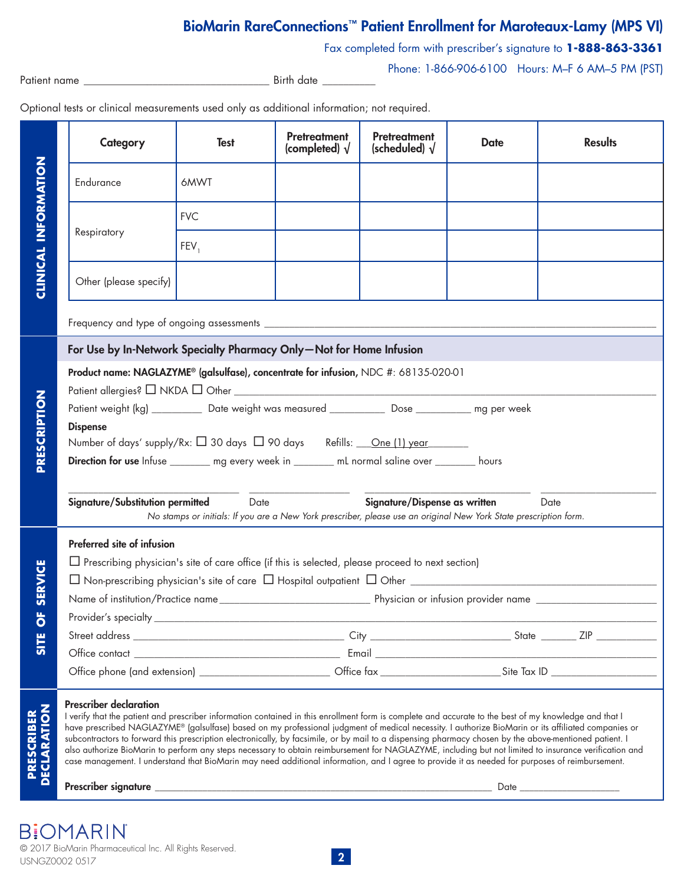## BioMarin RareConnections™ Patient Enrollment for Maroteaux-Lamy (MPS VI)

Fax completed form with prescriber's signature to **1-888-863-3361**

Phone: 1-866-906-6100 Hours: M–F 6 AM–5 PM (PST)

| Patient name |  |
|--------------|--|
|--------------|--|

Birth date \_

Optional tests or clinical measurements used only as additional information; not required.

|                                   |                                                                                                                                                                                                        | Category                                                                                                                                                                                                                                                                                                                                                                                                                                                                                                                                                                                                                                                    | <b>Test</b> | <b>Pretreatment</b><br>(completed) $\sqrt{}$ | <b>Pretreatment</b><br>(scheduled) $\sqrt{}$ | <b>Date</b> | <b>Results</b>                                                                                                                                        |  |  |
|-----------------------------------|--------------------------------------------------------------------------------------------------------------------------------------------------------------------------------------------------------|-------------------------------------------------------------------------------------------------------------------------------------------------------------------------------------------------------------------------------------------------------------------------------------------------------------------------------------------------------------------------------------------------------------------------------------------------------------------------------------------------------------------------------------------------------------------------------------------------------------------------------------------------------------|-------------|----------------------------------------------|----------------------------------------------|-------------|-------------------------------------------------------------------------------------------------------------------------------------------------------|--|--|
| <b>CLINICAL INFORMATION</b>       |                                                                                                                                                                                                        | Endurance                                                                                                                                                                                                                                                                                                                                                                                                                                                                                                                                                                                                                                                   | 6MWT        |                                              |                                              |             |                                                                                                                                                       |  |  |
|                                   |                                                                                                                                                                                                        |                                                                                                                                                                                                                                                                                                                                                                                                                                                                                                                                                                                                                                                             | <b>FVC</b>  |                                              |                                              |             |                                                                                                                                                       |  |  |
|                                   | Respiratory                                                                                                                                                                                            |                                                                                                                                                                                                                                                                                                                                                                                                                                                                                                                                                                                                                                                             | FEV,        |                                              |                                              |             |                                                                                                                                                       |  |  |
|                                   |                                                                                                                                                                                                        | Other (please specify)                                                                                                                                                                                                                                                                                                                                                                                                                                                                                                                                                                                                                                      |             |                                              |                                              |             |                                                                                                                                                       |  |  |
|                                   |                                                                                                                                                                                                        |                                                                                                                                                                                                                                                                                                                                                                                                                                                                                                                                                                                                                                                             |             |                                              |                                              |             |                                                                                                                                                       |  |  |
|                                   | For Use by In-Network Specialty Pharmacy Only-Not for Home Infusion                                                                                                                                    |                                                                                                                                                                                                                                                                                                                                                                                                                                                                                                                                                                                                                                                             |             |                                              |                                              |             |                                                                                                                                                       |  |  |
|                                   | Product name: NAGLAZYME® (galsulfase), concentrate for infusion, NDC #: 68135-020-01                                                                                                                   |                                                                                                                                                                                                                                                                                                                                                                                                                                                                                                                                                                                                                                                             |             |                                              |                                              |             |                                                                                                                                                       |  |  |
| PRESCRIPTION                      | Patient weight (kg) ___________ Date weight was measured ____________ Dose ___________ mg per week                                                                                                     |                                                                                                                                                                                                                                                                                                                                                                                                                                                                                                                                                                                                                                                             |             |                                              |                                              |             |                                                                                                                                                       |  |  |
|                                   | <b>Dispense</b>                                                                                                                                                                                        |                                                                                                                                                                                                                                                                                                                                                                                                                                                                                                                                                                                                                                                             |             |                                              |                                              |             |                                                                                                                                                       |  |  |
|                                   | Number of days' supply/Rx: □ 30 days □ 90 days Refills: <u>One (1) year</u>                                                                                                                            |                                                                                                                                                                                                                                                                                                                                                                                                                                                                                                                                                                                                                                                             |             |                                              |                                              |             |                                                                                                                                                       |  |  |
|                                   | Direction for use Infuse ________ mg every week in _______ mL normal saline over _______ hours                                                                                                         |                                                                                                                                                                                                                                                                                                                                                                                                                                                                                                                                                                                                                                                             |             |                                              |                                              |             |                                                                                                                                                       |  |  |
|                                   |                                                                                                                                                                                                        |                                                                                                                                                                                                                                                                                                                                                                                                                                                                                                                                                                                                                                                             |             |                                              |                                              |             |                                                                                                                                                       |  |  |
|                                   | Signature/Substitution permitted<br>Signature/Dispense as written<br>Date<br>Date<br>No stamps or initials: If you are a New York prescriber, please use an original New York State prescription form. |                                                                                                                                                                                                                                                                                                                                                                                                                                                                                                                                                                                                                                                             |             |                                              |                                              |             |                                                                                                                                                       |  |  |
|                                   |                                                                                                                                                                                                        | Preferred site of infusion                                                                                                                                                                                                                                                                                                                                                                                                                                                                                                                                                                                                                                  |             |                                              |                                              |             |                                                                                                                                                       |  |  |
|                                   | $\Box$ Prescribing physician's site of care office (if this is selected, please proceed to next section)                                                                                               |                                                                                                                                                                                                                                                                                                                                                                                                                                                                                                                                                                                                                                                             |             |                                              |                                              |             |                                                                                                                                                       |  |  |
| <b>SERVICE</b>                    |                                                                                                                                                                                                        |                                                                                                                                                                                                                                                                                                                                                                                                                                                                                                                                                                                                                                                             |             |                                              |                                              |             |                                                                                                                                                       |  |  |
|                                   |                                                                                                                                                                                                        |                                                                                                                                                                                                                                                                                                                                                                                                                                                                                                                                                                                                                                                             |             |                                              |                                              |             |                                                                                                                                                       |  |  |
| 뜻                                 | Provider's specialty                                                                                                                                                                                   |                                                                                                                                                                                                                                                                                                                                                                                                                                                                                                                                                                                                                                                             |             |                                              |                                              |             |                                                                                                                                                       |  |  |
| $\mathbf \sigma$<br><b>SITE</b>   |                                                                                                                                                                                                        |                                                                                                                                                                                                                                                                                                                                                                                                                                                                                                                                                                                                                                                             |             |                                              |                                              |             |                                                                                                                                                       |  |  |
|                                   |                                                                                                                                                                                                        |                                                                                                                                                                                                                                                                                                                                                                                                                                                                                                                                                                                                                                                             |             |                                              |                                              |             |                                                                                                                                                       |  |  |
|                                   |                                                                                                                                                                                                        |                                                                                                                                                                                                                                                                                                                                                                                                                                                                                                                                                                                                                                                             |             |                                              |                                              |             |                                                                                                                                                       |  |  |
| <b>PRESCRIBER<br/>DECLARATION</b> |                                                                                                                                                                                                        | <b>Prescriber declaration</b><br>I verify that the patient and prescriber information contained in this enrollment form is complete and accurate to the best of my knowledge and that I<br>have prescribed NAGLAZYME® (galsulfase) based on my professional judgment of medical necessity. I authorize BioMarin or its affiliated companies or<br>subcontractors to forward this prescription electronically, by facsimile, or by mail to a dispensing pharmacy chosen by the above-mentioned patient. I<br>case management. I understand that BioMarin may need additional information, and I agree to provide it as needed for purposes of reimbursement. |             |                                              |                                              |             | also authorize BioMarin to perform any steps necessary to obtain reimbursement for NAGLAZYME, including but not limited to insurance verification and |  |  |

Prescriber signature \_\_\_\_\_\_\_\_\_\_\_\_\_\_\_\_\_\_\_\_\_\_\_\_\_\_\_\_\_\_\_\_\_\_\_\_\_\_\_\_\_\_\_\_\_\_\_\_\_\_\_\_\_\_\_\_\_\_\_\_\_\_\_\_\_\_\_\_\_\_\_ Date \_\_\_\_\_\_\_\_\_\_\_\_\_\_\_\_\_\_\_\_\_

**B:OMARIN** © 2017 BioMarin Pharmaceutical Inc. All Rights Reserved. USNGZ0002 0517 2